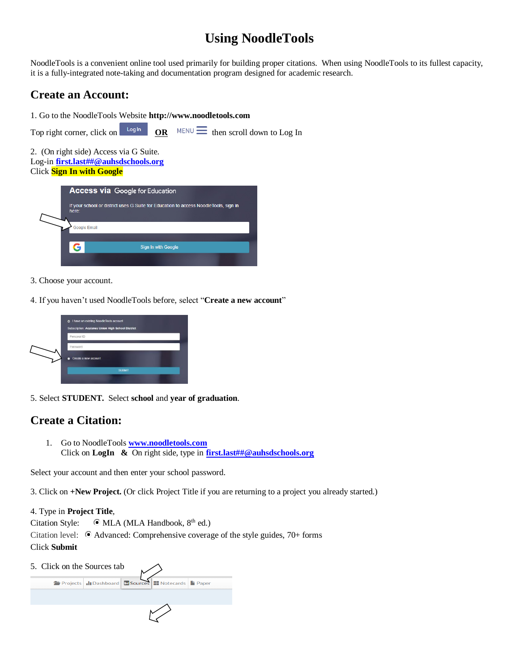# **Using NoodleTools**

NoodleTools is a convenient online tool used primarily for building proper citations. When using NoodleTools to its fullest capacity, it is a fully-integrated note-taking and documentation program designed for academic research.

## **Create an Account:**

1. Go to the NoodleTools Website **http://www.noodletools.com** 



2. (On right side) Access via G Suite. Log-in **[first.last##@auhsdschools.org](mailto:first.last##@auhsdschools.org)** Click **Sign In with Google**

|  | <b>Access via Google for Education</b>                                                        |                     |  |  |  |  |  |
|--|-----------------------------------------------------------------------------------------------|---------------------|--|--|--|--|--|
|  | If your school or district uses G Suite for Education to access NoodleTools, sign in<br>here: |                     |  |  |  |  |  |
|  |                                                                                               | <b>Google Email</b> |  |  |  |  |  |
|  | G                                                                                             | Sign In with Google |  |  |  |  |  |
|  |                                                                                               |                     |  |  |  |  |  |

- 3. Choose your account.
- 4. If you haven't used NoodleTools before, select "**Create a new account**"



5. Select **STUDENT.** Select **school** and **year of graduation**.

### **Create a Citation:**

1. Go to NoodleTools **[www.noodletools.com](http://www.noodletools.com/)** Click on **LogIn &** On right side, type in **[first.last##@auhsdschools.org](mailto:first.last##@auhsdschools.org)**

Select your account and then enter your school password.

3. Click on **+New Project.** (Or click Project Title if you are returning to a project you already started.)

4. Type in **Project Title**,

Citation Style:  $\bullet$  MLA (MLA Handbook,  $8<sup>th</sup>$  ed.) Citation level:  $\bullet$  Advanced: Comprehensive coverage of the style guides, 70+ forms Click **Submit**